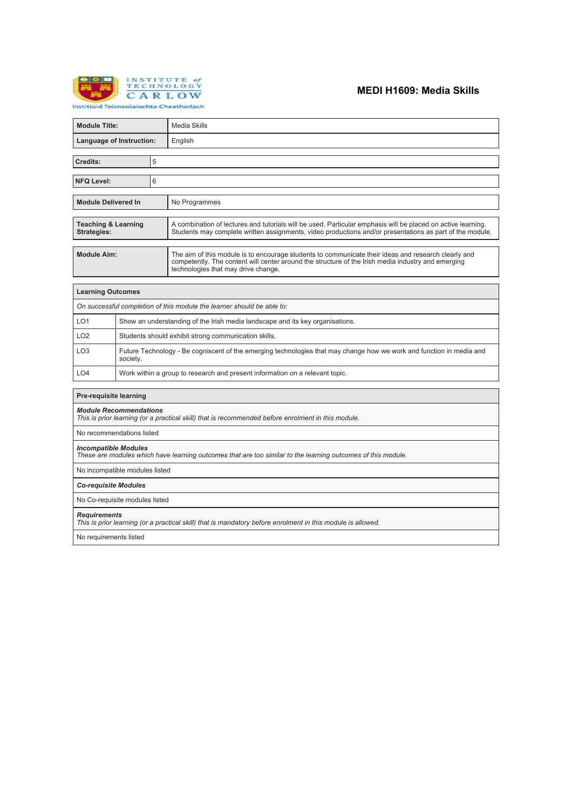

# **MEDI H1609: Media Skills**

| <b>Module Title:</b>                                                                                                                        |                                                                                                                                  |  | Media Skills                                                                                                                                                                                                                                     |  |  |
|---------------------------------------------------------------------------------------------------------------------------------------------|----------------------------------------------------------------------------------------------------------------------------------|--|--------------------------------------------------------------------------------------------------------------------------------------------------------------------------------------------------------------------------------------------------|--|--|
| Language of Instruction:                                                                                                                    |                                                                                                                                  |  | English                                                                                                                                                                                                                                          |  |  |
|                                                                                                                                             |                                                                                                                                  |  |                                                                                                                                                                                                                                                  |  |  |
| 5<br>Credits:                                                                                                                               |                                                                                                                                  |  |                                                                                                                                                                                                                                                  |  |  |
| 6<br><b>NFQ Level:</b>                                                                                                                      |                                                                                                                                  |  |                                                                                                                                                                                                                                                  |  |  |
|                                                                                                                                             |                                                                                                                                  |  |                                                                                                                                                                                                                                                  |  |  |
| <b>Module Delivered In</b>                                                                                                                  |                                                                                                                                  |  | No Programmes                                                                                                                                                                                                                                    |  |  |
| <b>Teaching &amp; Learning</b><br><b>Strategies:</b>                                                                                        |                                                                                                                                  |  | A combination of lectures and tutorials will be used. Particular emphasis will be placed on active learning.<br>Students may complete written assignments, video productions and/or presentations as part of the module.                         |  |  |
| <b>Module Aim:</b>                                                                                                                          |                                                                                                                                  |  | The aim of this module is to encourage students to communicate their ideas and research clearly and<br>competently. The content will center around the structure of the Irish media industry and emerging<br>technologies that may drive change. |  |  |
| <b>Learning Outcomes</b>                                                                                                                    |                                                                                                                                  |  |                                                                                                                                                                                                                                                  |  |  |
|                                                                                                                                             |                                                                                                                                  |  | On successful completion of this module the learner should be able to:                                                                                                                                                                           |  |  |
| LO <sub>1</sub>                                                                                                                             | Show an understanding of the Irish media landscape and its key organisations.                                                    |  |                                                                                                                                                                                                                                                  |  |  |
| LO <sub>2</sub>                                                                                                                             | Students should exhibit strong communication skills.                                                                             |  |                                                                                                                                                                                                                                                  |  |  |
| LO <sub>3</sub>                                                                                                                             | Future Technology - Be cogniscent of the emerging technologies that may change how we work and function in media and<br>society. |  |                                                                                                                                                                                                                                                  |  |  |
| LO <sub>4</sub>                                                                                                                             | Work within a group to research and present information on a relevant topic.                                                     |  |                                                                                                                                                                                                                                                  |  |  |
|                                                                                                                                             |                                                                                                                                  |  |                                                                                                                                                                                                                                                  |  |  |
| <b>Pre-requisite learning</b>                                                                                                               |                                                                                                                                  |  |                                                                                                                                                                                                                                                  |  |  |
| <b>Module Recommendations</b>                                                                                                               |                                                                                                                                  |  | This is prior learning (or a practical skill) that is recommended before enrolment in this module.                                                                                                                                               |  |  |
| No recommendations listed                                                                                                                   |                                                                                                                                  |  |                                                                                                                                                                                                                                                  |  |  |
| <b>Incompatible Modules</b><br>These are modules which have learning outcomes that are too similar to the learning outcomes of this module. |                                                                                                                                  |  |                                                                                                                                                                                                                                                  |  |  |
| No incompatible modules listed                                                                                                              |                                                                                                                                  |  |                                                                                                                                                                                                                                                  |  |  |
| <b>Co-requisite Modules</b>                                                                                                                 |                                                                                                                                  |  |                                                                                                                                                                                                                                                  |  |  |
| No Co-requisite modules listed                                                                                                              |                                                                                                                                  |  |                                                                                                                                                                                                                                                  |  |  |
| <b>Requirements</b><br>This is prior learning (or a practical skill) that is mandatory before enrolment in this module is allowed.          |                                                                                                                                  |  |                                                                                                                                                                                                                                                  |  |  |
| No requirements listed                                                                                                                      |                                                                                                                                  |  |                                                                                                                                                                                                                                                  |  |  |
|                                                                                                                                             |                                                                                                                                  |  |                                                                                                                                                                                                                                                  |  |  |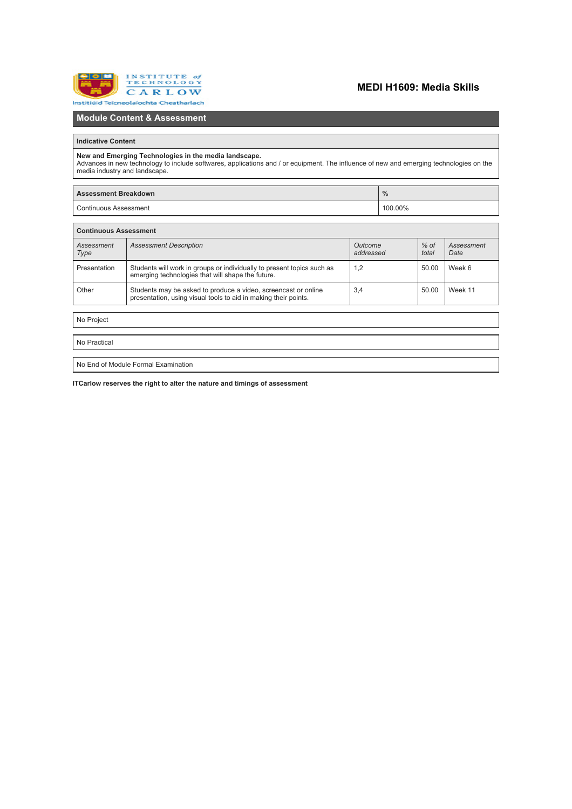

## **MEDI H1609: Media Skills**

## **Module Content & Assessment**

### **Indicative Content**

New and Emerging Technologies in the media landscape.<br>Advances in new technology to include softwares, applications and / or equipment. The influence of new and emerging technologies on the<br>media industry and landscape.

| <b>Assessment Breakdown</b>  | $\mathbf{0}$<br>70 |
|------------------------------|--------------------|
| <b>Continuous Assessment</b> | 100.00%            |

| <b>Continuous Assessment</b> |                                                                                                                                   |                      |                 |                    |  |  |  |  |
|------------------------------|-----------------------------------------------------------------------------------------------------------------------------------|----------------------|-----------------|--------------------|--|--|--|--|
| Assessment<br>Type           | <b>Assessment Description</b>                                                                                                     | Outcome<br>addressed | $%$ of<br>total | Assessment<br>Date |  |  |  |  |
| Presentation                 | Students will work in groups or individually to present topics such as<br>emerging technologies that will shape the future.       | 1,2                  | 50.00           | Week 6             |  |  |  |  |
| Other                        | Students may be asked to produce a video, screencast or online<br>presentation, using visual tools to aid in making their points. | 3,4                  | 50.00           | Week 11            |  |  |  |  |
|                              |                                                                                                                                   |                      |                 |                    |  |  |  |  |

No Project

No Practical

No End of Module Formal Examination

**ITCarlow reserves the right to alter the nature and timings of assessment**